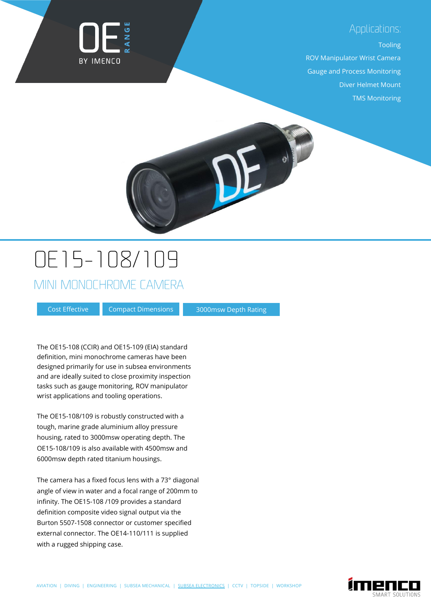#### Applications:



#### Tooling

ROV Manipulator Wrist Camera Gauge and Process Monitoring Diver Helmet Mount TMS Monitoring

## OE15-108/109

MINI MONOCHROME CAMERA

Cost Effective

Compact Dimensions 3000msw Depth Rating

The OE15-108 (CCIR) and OE15-109 (EIA) standard definition, mini monochrome cameras have been designed primarily for use in subsea environments and are ideally suited to close proximity inspection tasks such as gauge monitoring, ROV manipulator wrist applications and tooling operations.

The OE15-108/109 is robustly constructed with a tough, marine grade aluminium alloy pressure housing, rated to 3000msw operating depth. The OE15-108/109 is also available with 4500msw and 6000msw depth rated titanium housings.

The camera has a fixed focus lens with a 73° diagonal angle of view in water and a focal range of 200mm to infinity. The OE15-108 /109 provides a standard definition composite video signal output via the Burton 5507-1508 connector or customer specified external connector. The OE14-110/111 is supplied with a rugged shipping case.